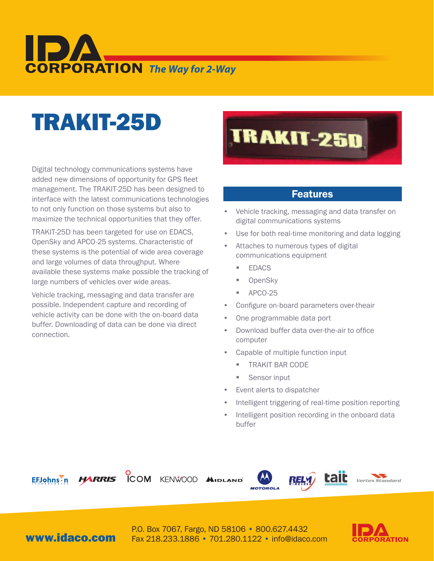# **CORPORATION** The Way for 2-Way

## TRAKIT-25D

Digital technology communications systems have added new dimensions of opportunity for GPS fleet management. The TRAKIT-25D has been designed to interface with the latest communications technologies to not only function on those systems but also to maximize the technical opportunities that they offer.

TRAKIT-25D has been targeted for use on EDACS, OpenSky and APCO-25 systems. Characteristic of these systems is the potential of wide area coverage and large volumes of data throughput. Where available these systems make possible the tracking of large numbers of vehicles over wide areas.

Vehicle tracking, messaging and data transfer are possible. Independent capture and recording of vehicle activity can be done with the on-board data buffer. Downloading of data can be done via direct connection.



#### Features

- Vehicle tracking, messaging and data transfer on digital communications systems
- Use for both real-time monitoring and data logging
- Attaches to numerous types of digital communications equipment
	- EDACS
	- **OpenSky**
	- APCO-25
- Configure on-board parameters over-theair
- One programmable data port
- Download buffer data over-the-air to office computer
- Capable of multiple function input
	- TRAKIT BAR CODE
	- Sensor input
- • Event alerts to dispatcher
- Intelligent triggering of real-time position reporting
- Intelligent position recording in the onboard data buffer



**COM** KENWOOD AIDL







www.idaco.com

P.O. Box 7067, Fargo, ND 58106 • 800.627.4432 Fax 218.233.1886 • 701.280.1122 • info@idaco.com